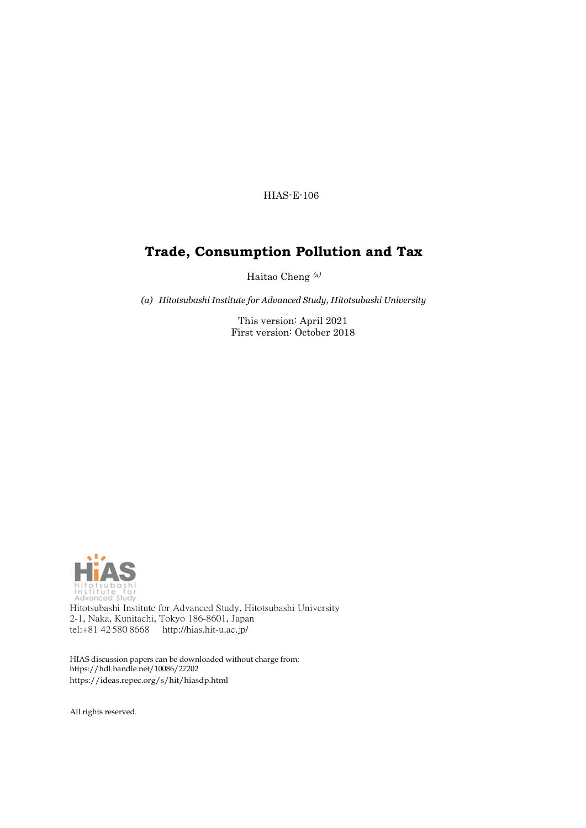HIAS-E-106

# **Trade, Consumption Pollution and Tax**

Haitao Cheng (a)

*(a) Hitotsubashi Institute for Advanced Study, Hitotsubashi University*

This version: April 2021 First version: October 2018



Hitotsubashi Institute for Advanced Study, Hitotsubashi University 2-1, Naka, Kunitachi, Tokyo 186-8601, Japan tel:+81 42 580 8668 <http://hias.hit-u.ac.jp/>

HIAS discussion papers can be downloaded without charge from: [https://hdl.handle.net/10086/27202](http://hdl.handle.net/10086/27202) https://ideas.repec.org/s/hit/hiasdp.html

All rights reserved.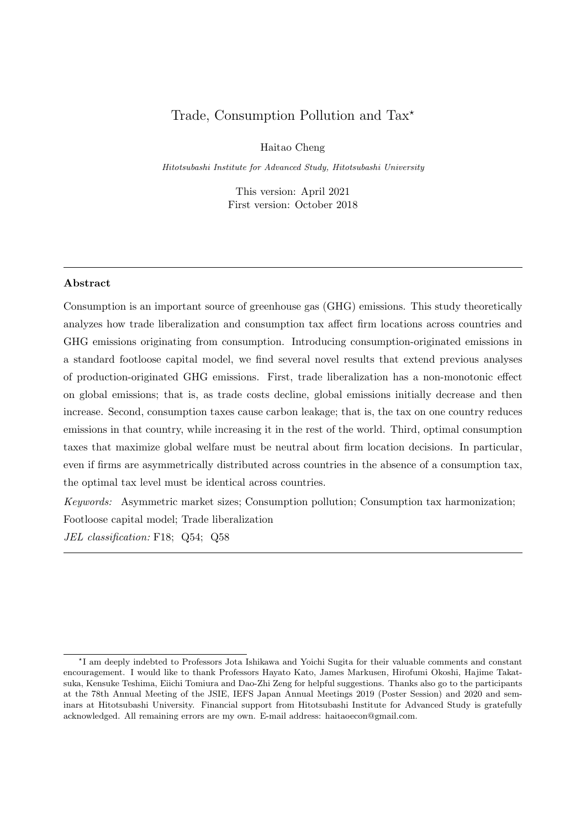## Trade, Consumption Pollution and Tax<sup>\*</sup>

Haitao Cheng

Hitotsubashi Institute for Advanced Study, Hitotsubashi University

This version: April 2021 First version: October 2018

### Abstract

Consumption is an important source of greenhouse gas (GHG) emissions. This study theoretically analyzes how trade liberalization and consumption tax affect firm locations across countries and GHG emissions originating from consumption. Introducing consumption-originated emissions in a standard footloose capital model, we find several novel results that extend previous analyses of production-originated GHG emissions. First, trade liberalization has a non-monotonic effect on global emissions; that is, as trade costs decline, global emissions initially decrease and then increase. Second, consumption taxes cause carbon leakage; that is, the tax on one country reduces emissions in that country, while increasing it in the rest of the world. Third, optimal consumption taxes that maximize global welfare must be neutral about firm location decisions. In particular, even if firms are asymmetrically distributed across countries in the absence of a consumption tax, the optimal tax level must be identical across countries.

Keywords: Asymmetric market sizes; Consumption pollution; Consumption tax harmonization; Footloose capital model; Trade liberalization

JEL classification: F18; Q54; Q58

<sup>?</sup> I am deeply indebted to Professors Jota Ishikawa and Yoichi Sugita for their valuable comments and constant encouragement. I would like to thank Professors Hayato Kato, James Markusen, Hirofumi Okoshi, Hajime Takatsuka, Kensuke Teshima, Eiichi Tomiura and Dao-Zhi Zeng for helpful suggestions. Thanks also go to the participants at the 78th Annual Meeting of the JSIE, IEFS Japan Annual Meetings 2019 (Poster Session) and 2020 and seminars at Hitotsubashi University. Financial support from Hitotsubashi Institute for Advanced Study is gratefully acknowledged. All remaining errors are my own. E-mail address: haitaoecon@gmail.com.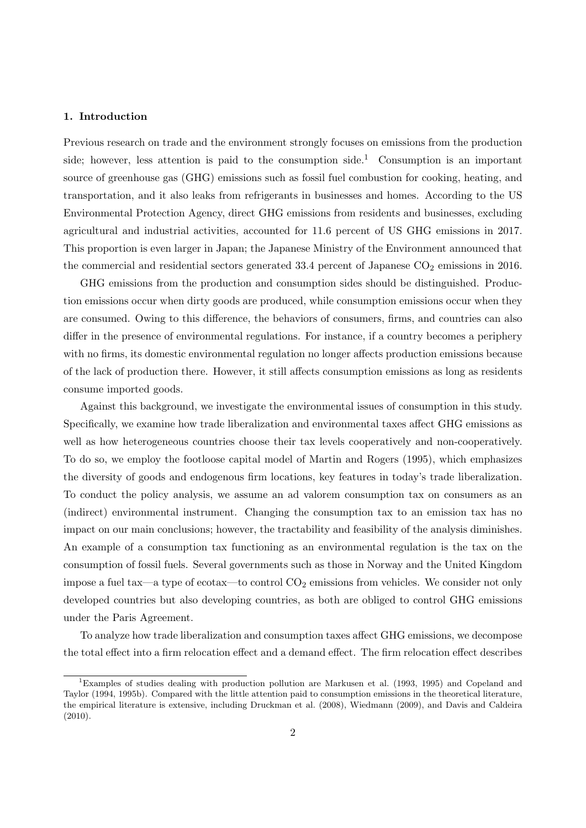### 1. Introduction

Previous research on trade and the environment strongly focuses on emissions from the production side; however, less attention is paid to the consumption side.<sup>1</sup> Consumption is an important source of greenhouse gas (GHG) emissions such as fossil fuel combustion for cooking, heating, and transportation, and it also leaks from refrigerants in businesses and homes. According to the US Environmental Protection Agency, direct GHG emissions from residents and businesses, excluding agricultural and industrial activities, accounted for 11.6 percent of US GHG emissions in 2017. This proportion is even larger in Japan; the Japanese Ministry of the Environment announced that the commercial and residential sectors generated  $33.4$  percent of Japanese  $CO<sub>2</sub>$  emissions in 2016.

GHG emissions from the production and consumption sides should be distinguished. Production emissions occur when dirty goods are produced, while consumption emissions occur when they are consumed. Owing to this difference, the behaviors of consumers, firms, and countries can also differ in the presence of environmental regulations. For instance, if a country becomes a periphery with no firms, its domestic environmental regulation no longer affects production emissions because of the lack of production there. However, it still affects consumption emissions as long as residents consume imported goods.

Against this background, we investigate the environmental issues of consumption in this study. Specifically, we examine how trade liberalization and environmental taxes affect GHG emissions as well as how heterogeneous countries choose their tax levels cooperatively and non-cooperatively. To do so, we employ the footloose capital model of Martin and Rogers (1995), which emphasizes the diversity of goods and endogenous firm locations, key features in today's trade liberalization. To conduct the policy analysis, we assume an ad valorem consumption tax on consumers as an (indirect) environmental instrument. Changing the consumption tax to an emission tax has no impact on our main conclusions; however, the tractability and feasibility of the analysis diminishes. An example of a consumption tax functioning as an environmental regulation is the tax on the consumption of fossil fuels. Several governments such as those in Norway and the United Kingdom impose a fuel tax—a type of ecotax—to control  $CO_2$  emissions from vehicles. We consider not only developed countries but also developing countries, as both are obliged to control GHG emissions under the Paris Agreement.

To analyze how trade liberalization and consumption taxes affect GHG emissions, we decompose the total effect into a firm relocation effect and a demand effect. The firm relocation effect describes

<sup>1</sup>Examples of studies dealing with production pollution are Markusen et al. (1993, 1995) and Copeland and Taylor (1994, 1995b). Compared with the little attention paid to consumption emissions in the theoretical literature, the empirical literature is extensive, including Druckman et al. (2008), Wiedmann (2009), and Davis and Caldeira (2010).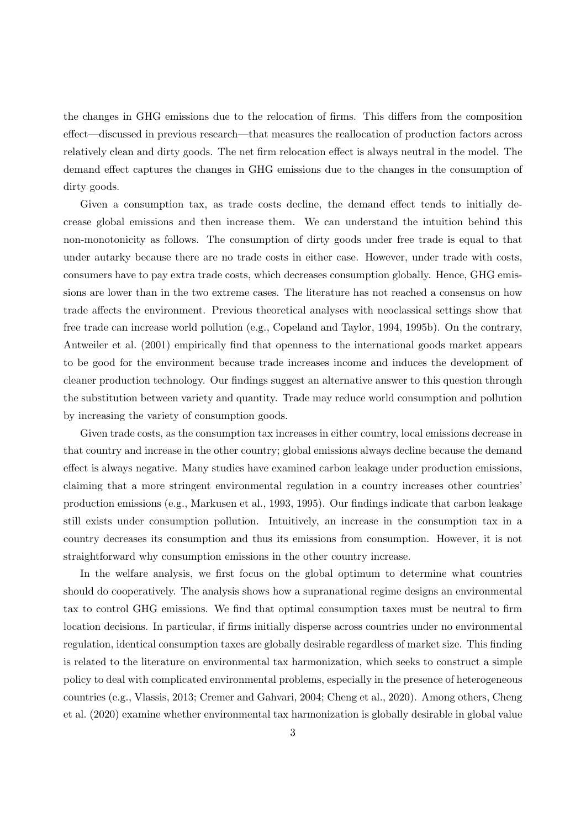the changes in GHG emissions due to the relocation of firms. This differs from the composition effect—discussed in previous research—that measures the reallocation of production factors across relatively clean and dirty goods. The net firm relocation effect is always neutral in the model. The demand effect captures the changes in GHG emissions due to the changes in the consumption of dirty goods.

Given a consumption tax, as trade costs decline, the demand effect tends to initially decrease global emissions and then increase them. We can understand the intuition behind this non-monotonicity as follows. The consumption of dirty goods under free trade is equal to that under autarky because there are no trade costs in either case. However, under trade with costs, consumers have to pay extra trade costs, which decreases consumption globally. Hence, GHG emissions are lower than in the two extreme cases. The literature has not reached a consensus on how trade affects the environment. Previous theoretical analyses with neoclassical settings show that free trade can increase world pollution (e.g., Copeland and Taylor, 1994, 1995b). On the contrary, Antweiler et al. (2001) empirically find that openness to the international goods market appears to be good for the environment because trade increases income and induces the development of cleaner production technology. Our findings suggest an alternative answer to this question through the substitution between variety and quantity. Trade may reduce world consumption and pollution by increasing the variety of consumption goods.

Given trade costs, as the consumption tax increases in either country, local emissions decrease in that country and increase in the other country; global emissions always decline because the demand effect is always negative. Many studies have examined carbon leakage under production emissions, claiming that a more stringent environmental regulation in a country increases other countries' production emissions (e.g., Markusen et al., 1993, 1995). Our findings indicate that carbon leakage still exists under consumption pollution. Intuitively, an increase in the consumption tax in a country decreases its consumption and thus its emissions from consumption. However, it is not straightforward why consumption emissions in the other country increase.

In the welfare analysis, we first focus on the global optimum to determine what countries should do cooperatively. The analysis shows how a supranational regime designs an environmental tax to control GHG emissions. We find that optimal consumption taxes must be neutral to firm location decisions. In particular, if firms initially disperse across countries under no environmental regulation, identical consumption taxes are globally desirable regardless of market size. This finding is related to the literature on environmental tax harmonization, which seeks to construct a simple policy to deal with complicated environmental problems, especially in the presence of heterogeneous countries (e.g., Vlassis, 2013; Cremer and Gahvari, 2004; Cheng et al., 2020). Among others, Cheng et al. (2020) examine whether environmental tax harmonization is globally desirable in global value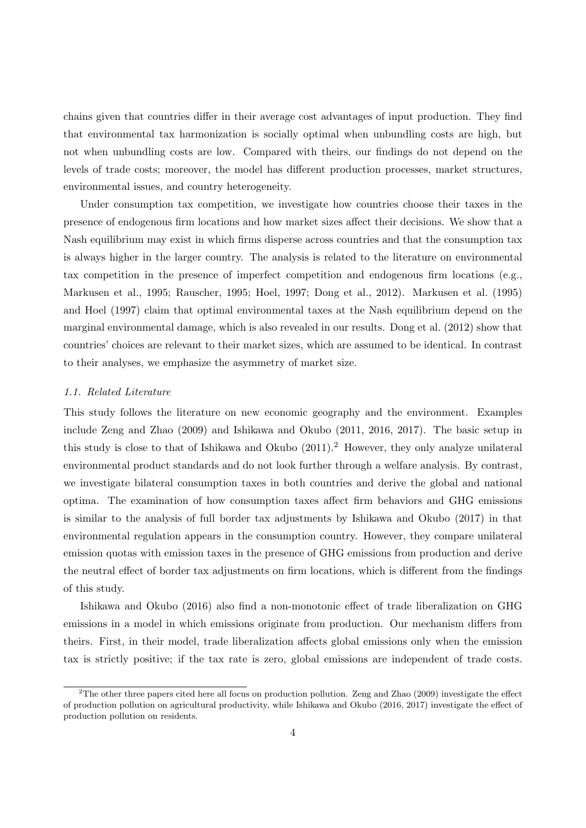chains given that countries differ in their average cost advantages of input production. They find that environmental tax harmonization is socially optimal when unbundling costs are high, but not when unbundling costs are low. Compared with theirs, our findings do not depend on the levels of trade costs; moreover, the model has different production processes, market structures, environmental issues, and country heterogeneity.

Under consumption tax competition, we investigate how countries choose their taxes in the presence of endogenous firm locations and how market sizes affect their decisions. We show that a Nash equilibrium may exist in which firms disperse across countries and that the consumption tax is always higher in the larger country. The analysis is related to the literature on environmental tax competition in the presence of imperfect competition and endogenous firm locations (e.g., Markusen et al., 1995; Rauscher, 1995; Hoel, 1997; Dong et al., 2012). Markusen et al. (1995) and Hoel (1997) claim that optimal environmental taxes at the Nash equilibrium depend on the marginal environmental damage, which is also revealed in our results. Dong et al. (2012) show that countries' choices are relevant to their market sizes, which are assumed to be identical. In contrast to their analyses, we emphasize the asymmetry of market size.

### 1.1. Related Literature

This study follows the literature on new economic geography and the environment. Examples include Zeng and Zhao (2009) and Ishikawa and Okubo (2011, 2016, 2017). The basic setup in this study is close to that of Ishikawa and Okubo (2011).<sup>2</sup> However, they only analyze unilateral environmental product standards and do not look further through a welfare analysis. By contrast, we investigate bilateral consumption taxes in both countries and derive the global and national optima. The examination of how consumption taxes affect firm behaviors and GHG emissions is similar to the analysis of full border tax adjustments by Ishikawa and Okubo (2017) in that environmental regulation appears in the consumption country. However, they compare unilateral emission quotas with emission taxes in the presence of GHG emissions from production and derive the neutral effect of border tax adjustments on firm locations, which is different from the findings of this study.

Ishikawa and Okubo (2016) also find a non-monotonic effect of trade liberalization on GHG emissions in a model in which emissions originate from production. Our mechanism differs from theirs. First, in their model, trade liberalization affects global emissions only when the emission tax is strictly positive; if the tax rate is zero, global emissions are independent of trade costs.

 $2$ The other three papers cited here all focus on production pollution. Zeng and Zhao (2009) investigate the effect of production pollution on agricultural productivity, while Ishikawa and Okubo (2016, 2017) investigate the effect of production pollution on residents.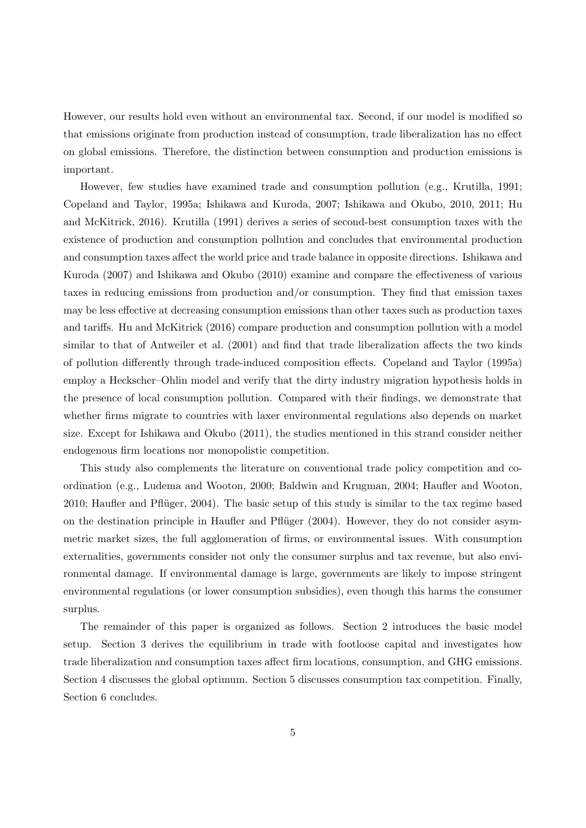However, our results hold even without an environmental tax. Second, if our model is modified so that emissions originate from production instead of consumption, trade liberalization has no effect on global emissions. Therefore, the distinction between consumption and production emissions is important.

However, few studies have examined trade and consumption pollution (e.g., Krutilla, 1991; Copeland and Taylor, 1995a; Ishikawa and Kuroda, 2007; Ishikawa and Okubo, 2010, 2011; Hu and McKitrick, 2016). Krutilla (1991) derives a series of second-best consumption taxes with the existence of production and consumption pollution and concludes that environmental production and consumption taxes affect the world price and trade balance in opposite directions. Ishikawa and Kuroda (2007) and Ishikawa and Okubo (2010) examine and compare the effectiveness of various taxes in reducing emissions from production and/or consumption. They find that emission taxes may be less effective at decreasing consumption emissions than other taxes such as production taxes and tariffs. Hu and McKitrick (2016) compare production and consumption pollution with a model similar to that of Antweiler et al. (2001) and find that trade liberalization affects the two kinds of pollution differently through trade-induced composition effects. Copeland and Taylor (1995a) employ a Heckscher–Ohlin model and verify that the dirty industry migration hypothesis holds in the presence of local consumption pollution. Compared with their findings, we demonstrate that whether firms migrate to countries with laxer environmental regulations also depends on market size. Except for Ishikawa and Okubo (2011), the studies mentioned in this strand consider neither endogenous firm locations nor monopolistic competition.

This study also complements the literature on conventional trade policy competition and coordination (e.g., Ludema and Wooton, 2000; Baldwin and Krugman, 2004; Haufler and Wooton, 2010; Haufler and Pflüger, 2004). The basic setup of this study is similar to the tax regime based on the destination principle in Haufler and Pflüger (2004). However, they do not consider asymmetric market sizes, the full agglomeration of firms, or environmental issues. With consumption externalities, governments consider not only the consumer surplus and tax revenue, but also environmental damage. If environmental damage is large, governments are likely to impose stringent environmental regulations (or lower consumption subsidies), even though this harms the consumer surplus.

The remainder of this paper is organized as follows. Section 2 introduces the basic model setup. Section 3 derives the equilibrium in trade with footloose capital and investigates how trade liberalization and consumption taxes affect firm locations, consumption, and GHG emissions. Section 4 discusses the global optimum. Section 5 discusses consumption tax competition. Finally, Section 6 concludes.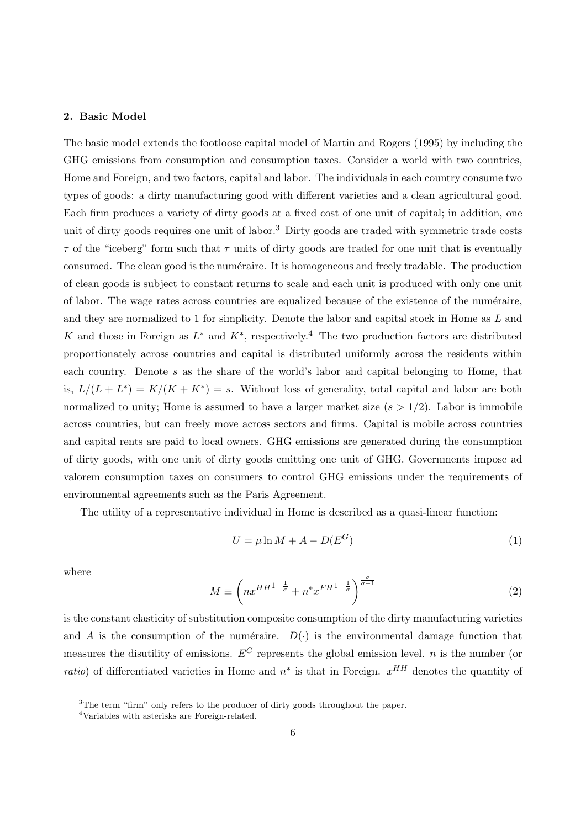### 2. Basic Model

The basic model extends the footloose capital model of Martin and Rogers (1995) by including the GHG emissions from consumption and consumption taxes. Consider a world with two countries, Home and Foreign, and two factors, capital and labor. The individuals in each country consume two types of goods: a dirty manufacturing good with different varieties and a clean agricultural good. Each firm produces a variety of dirty goods at a fixed cost of one unit of capital; in addition, one unit of dirty goods requires one unit of labor.<sup>3</sup> Dirty goods are traded with symmetric trade costs  $\tau$  of the "iceberg" form such that  $\tau$  units of dirty goods are traded for one unit that is eventually consumed. The clean good is the numéraire. It is homogeneous and freely tradable. The production of clean goods is subject to constant returns to scale and each unit is produced with only one unit of labor. The wage rates across countries are equalized because of the existence of the numéraire, and they are normalized to 1 for simplicity. Denote the labor and capital stock in Home as L and K and those in Foreign as  $L^*$  and  $K^*$ , respectively.<sup>4</sup> The two production factors are distributed proportionately across countries and capital is distributed uniformly across the residents within each country. Denote s as the share of the world's labor and capital belonging to Home, that is,  $L/(L+L^*) = K/(K+K^*) = s$ . Without loss of generality, total capital and labor are both normalized to unity; Home is assumed to have a larger market size  $(s > 1/2)$ . Labor is immobile across countries, but can freely move across sectors and firms. Capital is mobile across countries and capital rents are paid to local owners. GHG emissions are generated during the consumption of dirty goods, with one unit of dirty goods emitting one unit of GHG. Governments impose ad valorem consumption taxes on consumers to control GHG emissions under the requirements of environmental agreements such as the Paris Agreement.

The utility of a representative individual in Home is described as a quasi-linear function:

$$
U = \mu \ln M + A - D(E^G) \tag{1}
$$

where

$$
M \equiv \left( nx^{HH^{1-\frac{1}{\sigma}}} + n^* x^{FH^{1-\frac{1}{\sigma}}} \right)^{\frac{\sigma}{\sigma-1}} \tag{2}
$$

is the constant elasticity of substitution composite consumption of the dirty manufacturing varieties and A is the consumption of the numéraire.  $D(\cdot)$  is the environmental damage function that measures the disutility of emissions.  $E^G$  represents the global emission level. *n* is the number (or *ratio*) of differentiated varieties in Home and  $n^*$  is that in Foreign.  $x^{HH}$  denotes the quantity of

<sup>&</sup>lt;sup>3</sup>The term "firm" only refers to the producer of dirty goods throughout the paper.

<sup>4</sup>Variables with asterisks are Foreign-related.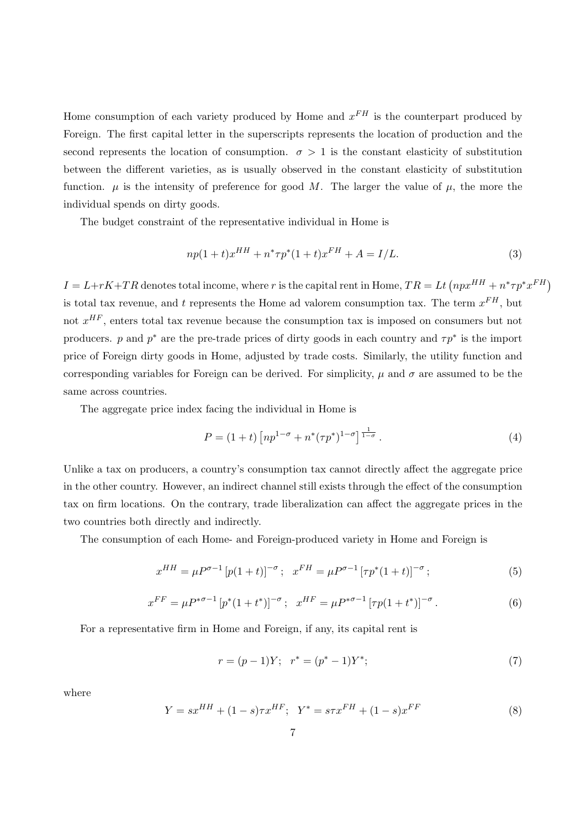Home consumption of each variety produced by Home and  $x^{FH}$  is the counterpart produced by Foreign. The first capital letter in the superscripts represents the location of production and the second represents the location of consumption.  $\sigma > 1$  is the constant elasticity of substitution between the different varieties, as is usually observed in the constant elasticity of substitution function.  $\mu$  is the intensity of preference for good M. The larger the value of  $\mu$ , the more the individual spends on dirty goods.

The budget constraint of the representative individual in Home is

$$
np(1+t)x^{HH} + n^* \tau p^*(1+t)x^{FH} + A = I/L.
$$
\n(3)

 $I = L + rK + TR$  denotes total income, where r is the capital rent in Home,  $TR = Lt$   $(npx^{HH} + n^* \tau p^* x^{FH}$ is total tax revenue, and t represents the Home ad valorem consumption tax. The term  $x^{FH}$ , but not  $x^{HF}$ , enters total tax revenue because the consumption tax is imposed on consumers but not producers. p and  $p^*$  are the pre-trade prices of dirty goods in each country and  $\tau p^*$  is the import price of Foreign dirty goods in Home, adjusted by trade costs. Similarly, the utility function and corresponding variables for Foreign can be derived. For simplicity,  $\mu$  and  $\sigma$  are assumed to be the same across countries.

The aggregate price index facing the individual in Home is

$$
P = (1+t)\left[ np^{1-\sigma} + n^*(\tau p^*)^{1-\sigma} \right]^{\frac{1}{1-\sigma}}.
$$
\n(4)

Unlike a tax on producers, a country's consumption tax cannot directly affect the aggregate price in the other country. However, an indirect channel still exists through the effect of the consumption tax on firm locations. On the contrary, trade liberalization can affect the aggregate prices in the two countries both directly and indirectly.

The consumption of each Home- and Foreign-produced variety in Home and Foreign is

$$
x^{HH} = \mu P^{\sigma - 1} \left[ p(1+t) \right]^{-\sigma}; \quad x^{FH} = \mu P^{\sigma - 1} \left[ \tau p^*(1+t) \right]^{-\sigma}; \tag{5}
$$

$$
x^{FF} = \mu P^{*\sigma - 1} \left[ p^*(1 + t^*) \right]^{-\sigma}; \quad x^{HF} = \mu P^{*\sigma - 1} \left[ \tau p (1 + t^*) \right]^{-\sigma}.
$$
 (6)

For a representative firm in Home and Foreign, if any, its capital rent is

$$
r = (p-1)Y; \quad r^* = (p^* - 1)Y^*; \tag{7}
$$

where

$$
Y = sx^{HH} + (1 - s)\tau x^{HF}; \quad Y^* = s\tau x^{FH} + (1 - s)x^{FF}
$$
\n<sup>(8)</sup>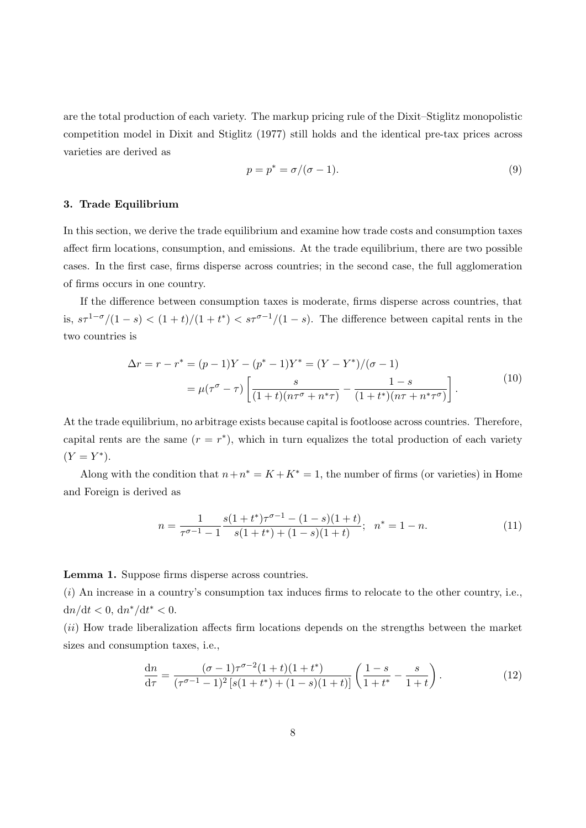are the total production of each variety. The markup pricing rule of the Dixit–Stiglitz monopolistic competition model in Dixit and Stiglitz (1977) still holds and the identical pre-tax prices across varieties are derived as

$$
p = p^* = \sigma/(\sigma - 1). \tag{9}
$$

### 3. Trade Equilibrium

In this section, we derive the trade equilibrium and examine how trade costs and consumption taxes affect firm locations, consumption, and emissions. At the trade equilibrium, there are two possible cases. In the first case, firms disperse across countries; in the second case, the full agglomeration of firms occurs in one country.

If the difference between consumption taxes is moderate, firms disperse across countries, that is,  $s\tau^{1-\sigma}/(1-s) < (1+t)/(1+t^*) < s\tau^{\sigma-1}/(1-s)$ . The difference between capital rents in the two countries is

$$
\Delta r = r - r^* = (p - 1)Y - (p^* - 1)Y^* = (Y - Y^*)/(\sigma - 1)
$$
  
=  $\mu(\tau^{\sigma} - \tau) \left[ \frac{s}{(1 + t)(n\tau^{\sigma} + n^*\tau)} - \frac{1 - s}{(1 + t^*)(n\tau + n^*\tau^{\sigma})} \right].$  (10)

At the trade equilibrium, no arbitrage exists because capital is footloose across countries. Therefore, capital rents are the same  $(r = r^*)$ , which in turn equalizes the total production of each variety  $(Y = Y^*).$ 

Along with the condition that  $n+n^* = K + K^* = 1$ , the number of firms (or varieties) in Home and Foreign is derived as

$$
n = \frac{1}{\tau^{\sigma - 1} - 1} \frac{s(1 + t^*)\tau^{\sigma - 1} - (1 - s)(1 + t)}{s(1 + t^*) + (1 - s)(1 + t)}; \quad n^* = 1 - n. \tag{11}
$$

Lemma 1. Suppose firms disperse across countries.

 $(i)$  An increase in a country's consumption tax induces firms to relocate to the other country, i.e.,  $dn/dt < 0, dn^*/dt^* < 0.$ 

(ii) How trade liberalization affects firm locations depends on the strengths between the market sizes and consumption taxes, i.e.,

$$
\frac{dn}{d\tau} = \frac{(\sigma - 1)\tau^{\sigma - 2}(1+t)(1+t^*)}{(\tau^{\sigma - 1} - 1)^2 \left[s(1+t^*) + (1-s)(1+t)\right]} \left(\frac{1-s}{1+t^*} - \frac{s}{1+t}\right). \tag{12}
$$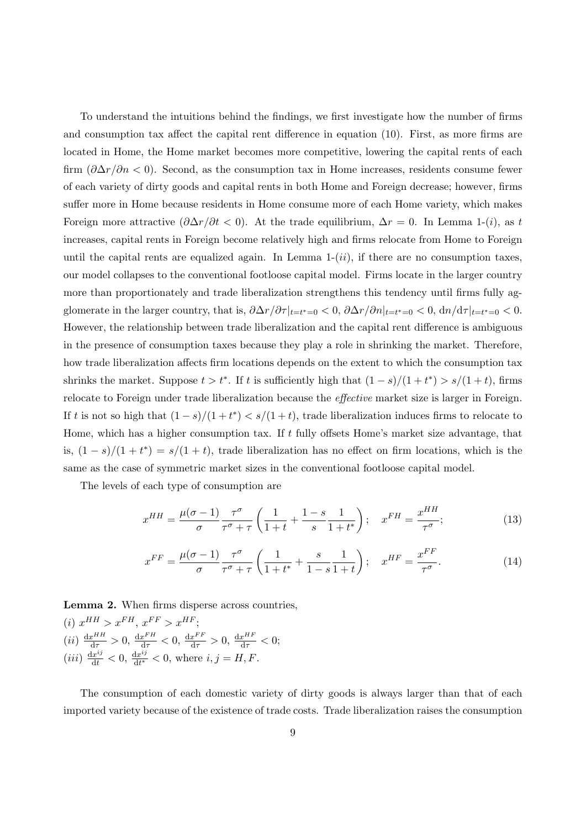To understand the intuitions behind the findings, we first investigate how the number of firms and consumption tax affect the capital rent difference in equation (10). First, as more firms are located in Home, the Home market becomes more competitive, lowering the capital rents of each firm  $(\partial \Delta r/\partial n < 0)$ . Second, as the consumption tax in Home increases, residents consume fewer of each variety of dirty goods and capital rents in both Home and Foreign decrease; however, firms suffer more in Home because residents in Home consume more of each Home variety, which makes Foreign more attractive  $(\partial \Delta r/\partial t < 0)$ . At the trade equilibrium,  $\Delta r = 0$ . In Lemma 1-(*i*), as t increases, capital rents in Foreign become relatively high and firms relocate from Home to Foreign until the capital rents are equalized again. In Lemma  $1-(ii)$ , if there are no consumption taxes, our model collapses to the conventional footloose capital model. Firms locate in the larger country more than proportionately and trade liberalization strengthens this tendency until firms fully agglomerate in the larger country, that is,  $\frac{\partial \Delta r}{\partial \tau}\Big|_{t=t^*=0} < 0$ ,  $\frac{\partial \Delta r}{\partial n}\Big|_{t=t^*=0} < 0$ ,  $\frac{\partial n}{\partial \tau}\Big|_{t=t^*=0} < 0$ . However, the relationship between trade liberalization and the capital rent difference is ambiguous in the presence of consumption taxes because they play a role in shrinking the market. Therefore, how trade liberalization affects firm locations depends on the extent to which the consumption tax shrinks the market. Suppose  $t > t^*$ . If t is sufficiently high that  $(1 - s)/(1 + t^*) > s/(1 + t)$ , firms relocate to Foreign under trade liberalization because the effective market size is larger in Foreign. If t is not so high that  $(1-s)/(1+t^*) < s/(1+t)$ , trade liberalization induces firms to relocate to Home, which has a higher consumption tax. If  $t$  fully offsets Home's market size advantage, that is,  $(1-s)/(1+t^*) = s/(1+t)$ , trade liberalization has no effect on firm locations, which is the same as the case of symmetric market sizes in the conventional footloose capital model.

The levels of each type of consumption are

$$
x^{HH} = \frac{\mu(\sigma - 1)}{\sigma} \frac{\tau^{\sigma}}{\tau^{\sigma} + \tau} \left( \frac{1}{1+t} + \frac{1-s}{s} \frac{1}{1+t^*} \right); \quad x^{FH} = \frac{x^{HH}}{\tau^{\sigma}}; \tag{13}
$$

$$
x^{FF} = \frac{\mu(\sigma - 1)}{\sigma} \frac{\tau^{\sigma}}{\tau^{\sigma} + \tau} \left( \frac{1}{1 + t^*} + \frac{s}{1 - s} \frac{1}{1 + t} \right); \quad x^{HF} = \frac{x^{FF}}{\tau^{\sigma}}.
$$
 (14)

Lemma 2. When firms disperse across countries, (i)  $x^{HH} > x^{FH}$ ,  $x^{FF} > x^{HF}$ ;  $(ii) \frac{d x^{HH}}{d \tau} > 0, \frac{d x^{FH}}{d \tau} < 0, \frac{d x^{FF}}{d \tau} > 0, \frac{d x^{HF}}{d \tau} < 0;$  $(iii) \frac{dx^{ij}}{dt} < 0, \frac{dx^{ij}}{dt^*}$  $\frac{dx^{ij}}{dt^*} < 0$ , where  $i, j = H, F$ .

The consumption of each domestic variety of dirty goods is always larger than that of each imported variety because of the existence of trade costs. Trade liberalization raises the consumption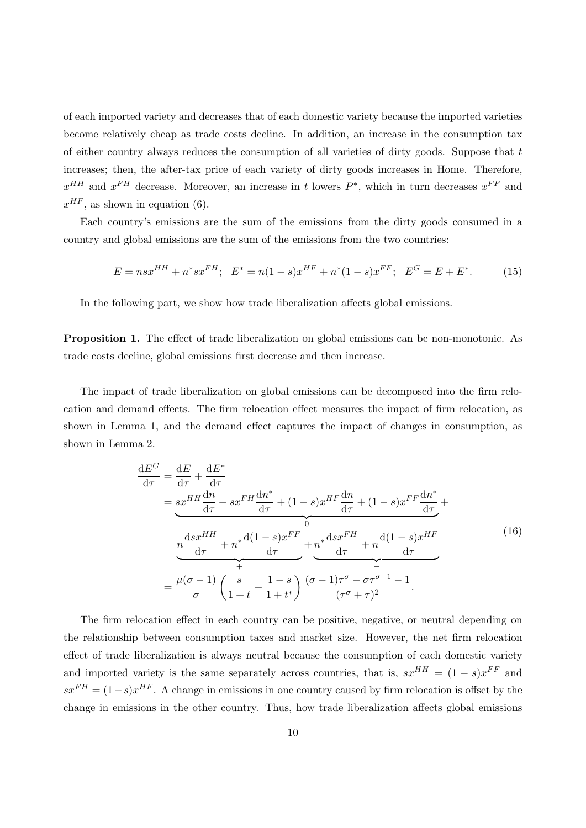of each imported variety and decreases that of each domestic variety because the imported varieties become relatively cheap as trade costs decline. In addition, an increase in the consumption tax of either country always reduces the consumption of all varieties of dirty goods. Suppose that  $t$ increases; then, the after-tax price of each variety of dirty goods increases in Home. Therefore,  $x^{HH}$  and  $x^{FH}$  decrease. Moreover, an increase in t lowers  $P^*$ , which in turn decreases  $x^{FF}$  and  $x^{HF}$ , as shown in equation (6).

Each country's emissions are the sum of the emissions from the dirty goods consumed in a country and global emissions are the sum of the emissions from the two countries:

$$
E = n s x^{HH} + n^* s x^{FH}; \quad E^* = n(1 - s) x^{HF} + n^* (1 - s) x^{FF}; \quad E^G = E + E^*.
$$
 (15)

In the following part, we show how trade liberalization affects global emissions.

Proposition 1. The effect of trade liberalization on global emissions can be non-monotonic. As trade costs decline, global emissions first decrease and then increase.

The impact of trade liberalization on global emissions can be decomposed into the firm relocation and demand effects. The firm relocation effect measures the impact of firm relocation, as shown in Lemma 1, and the demand effect captures the impact of changes in consumption, as shown in Lemma 2.

$$
\frac{dE^{G}}{d\tau} = \frac{dE}{d\tau} + \frac{dE^{*}}{d\tau}
$$
\n
$$
= sx^{HH}\frac{dn}{d\tau} + sx^{FH}\frac{dn^{*}}{d\tau} + (1 - s)x^{HF}\frac{dn}{d\tau} + (1 - s)x^{FF}\frac{dn^{*}}{d\tau} +
$$
\n
$$
n\frac{dsx^{HH}}{d\tau} + n^{*}\frac{d(1 - s)x^{FF}}{d\tau} + n^{*}\frac{dsx^{FH}}{d\tau} + n\frac{d(1 - s)x^{HF}}{d\tau}
$$
\n
$$
= \frac{\mu(\sigma - 1)}{\sigma} \left(\frac{s}{1 + t} + \frac{1 - s}{1 + t^{*}}\right) \frac{(\sigma - 1)\tau^{\sigma} - \sigma\tau^{\sigma - 1} - 1}{(\tau^{\sigma} + \tau)^{2}}.
$$
\n(16)

The firm relocation effect in each country can be positive, negative, or neutral depending on the relationship between consumption taxes and market size. However, the net firm relocation effect of trade liberalization is always neutral because the consumption of each domestic variety and imported variety is the same separately across countries, that is,  $sx^{HH} = (1-s)x^{FF}$  and  $sx^{FH} = (1-s)x^{HF}$ . A change in emissions in one country caused by firm relocation is offset by the change in emissions in the other country. Thus, how trade liberalization affects global emissions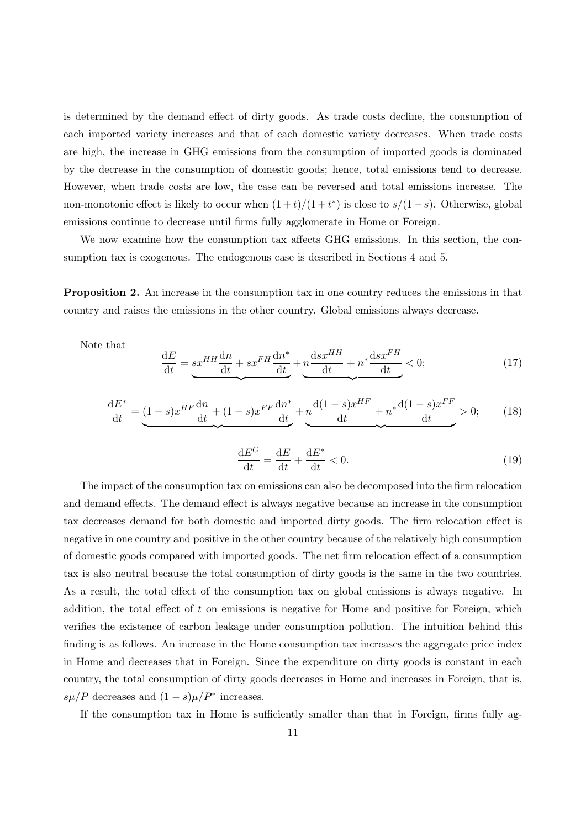is determined by the demand effect of dirty goods. As trade costs decline, the consumption of each imported variety increases and that of each domestic variety decreases. When trade costs are high, the increase in GHG emissions from the consumption of imported goods is dominated by the decrease in the consumption of domestic goods; hence, total emissions tend to decrease. However, when trade costs are low, the case can be reversed and total emissions increase. The non-monotonic effect is likely to occur when  $(1+t)/(1+t^*)$  is close to  $s/(1-s)$ . Otherwise, global emissions continue to decrease until firms fully agglomerate in Home or Foreign.

We now examine how the consumption tax affects GHG emissions. In this section, the consumption tax is exogenous. The endogenous case is described in Sections 4 and 5.

Proposition 2. An increase in the consumption tax in one country reduces the emissions in that country and raises the emissions in the other country. Global emissions always decrease.

Note that

$$
\frac{dE}{dt} = sx^{HH}\frac{dn}{dt} + sx^{FH}\frac{dn^*}{dt} + n\frac{dsx^{HH}}{dt} + n^*\frac{dsx^{FH}}{dt} < 0; \qquad (17)
$$

$$
\frac{dE^*}{dt} = (1 - s)x^{HF} \frac{dn}{dt} + (1 - s)x^{FF} \frac{dn^*}{dt} + n \frac{d(1 - s)x^{HF}}{dt} + n \frac{d(1 - s)x^{FF}}{dt} > 0; \qquad (18)
$$

$$
\frac{\mathrm{d}E^G}{\mathrm{d}t} = \frac{\mathrm{d}E}{\mathrm{d}t} + \frac{\mathrm{d}E^*}{\mathrm{d}t} < 0. \tag{19}
$$

The impact of the consumption tax on emissions can also be decomposed into the firm relocation and demand effects. The demand effect is always negative because an increase in the consumption tax decreases demand for both domestic and imported dirty goods. The firm relocation effect is negative in one country and positive in the other country because of the relatively high consumption of domestic goods compared with imported goods. The net firm relocation effect of a consumption tax is also neutral because the total consumption of dirty goods is the same in the two countries. As a result, the total effect of the consumption tax on global emissions is always negative. In addition, the total effect of  $t$  on emissions is negative for Home and positive for Foreign, which verifies the existence of carbon leakage under consumption pollution. The intuition behind this finding is as follows. An increase in the Home consumption tax increases the aggregate price index in Home and decreases that in Foreign. Since the expenditure on dirty goods is constant in each country, the total consumption of dirty goods decreases in Home and increases in Foreign, that is,  $s\mu/P$  decreases and  $(1-s)\mu/P^*$  increases.

If the consumption tax in Home is sufficiently smaller than that in Foreign, firms fully ag-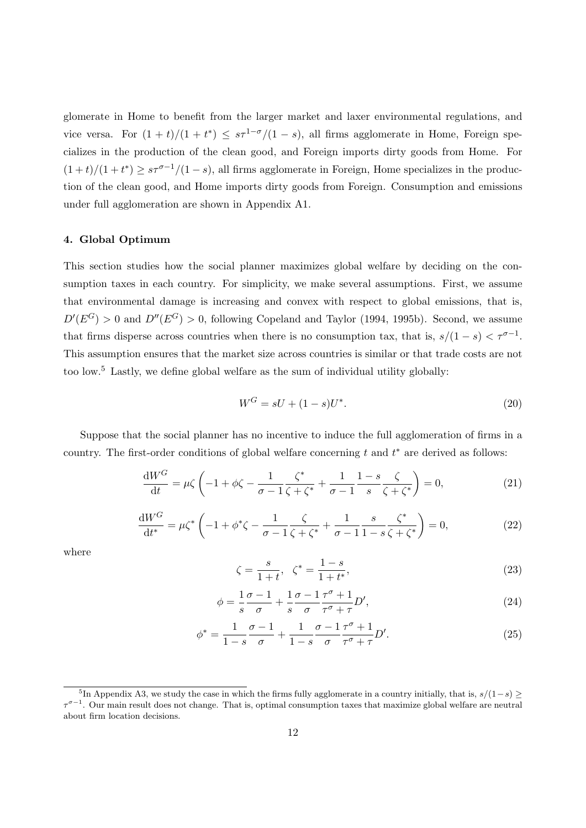glomerate in Home to benefit from the larger market and laxer environmental regulations, and vice versa. For  $(1 + t)/(1 + t^*) \leq s\tau^{1-\sigma}/(1-s)$ , all firms agglomerate in Home, Foreign specializes in the production of the clean good, and Foreign imports dirty goods from Home. For  $(1+t)/(1+t^*) \geq s\tau^{\sigma-1}/(1-s)$ , all firms agglomerate in Foreign, Home specializes in the production of the clean good, and Home imports dirty goods from Foreign. Consumption and emissions under full agglomeration are shown in Appendix A1.

### 4. Global Optimum

This section studies how the social planner maximizes global welfare by deciding on the consumption taxes in each country. For simplicity, we make several assumptions. First, we assume that environmental damage is increasing and convex with respect to global emissions, that is,  $D'(E^G) > 0$  and  $D''(E^G) > 0$ , following Copeland and Taylor (1994, 1995b). Second, we assume that firms disperse across countries when there is no consumption tax, that is,  $s/(1-s) < \tau^{\sigma-1}$ . This assumption ensures that the market size across countries is similar or that trade costs are not too low.<sup>5</sup> Lastly, we define global welfare as the sum of individual utility globally:

$$
W^G = sU + (1 - s)U^*.
$$
\n(20)

Suppose that the social planner has no incentive to induce the full agglomeration of firms in a country. The first-order conditions of global welfare concerning  $t$  and  $t^*$  are derived as follows:

$$
\frac{dW^G}{dt} = \mu \zeta \left( -1 + \phi \zeta - \frac{1}{\sigma - 1} \frac{\zeta^*}{\zeta + \zeta^*} + \frac{1}{\sigma - 1} \frac{1 - s}{s} \frac{\zeta}{\zeta + \zeta^*} \right) = 0, \tag{21}
$$

$$
\frac{dW^G}{dt^*} = \mu \zeta^* \left( -1 + \phi^* \zeta - \frac{1}{\sigma - 1} \frac{\zeta}{\zeta + \zeta^*} + \frac{1}{\sigma - 1} \frac{s}{1 - s} \frac{\zeta^*}{\zeta + \zeta^*} \right) = 0, \tag{22}
$$

where

$$
\zeta = \frac{s}{1+t}, \ \zeta^* = \frac{1-s}{1+t^*},\tag{23}
$$

$$
\phi = \frac{1}{s}\frac{\sigma - 1}{\sigma} + \frac{1}{s}\frac{\sigma - 1}{\sigma}\frac{\tau^{\sigma} + 1}{\tau^{\sigma} + \tau}D',\tag{24}
$$

$$
\phi^* = \frac{1}{1-s} \frac{\sigma - 1}{\sigma} + \frac{1}{1-s} \frac{\sigma - 1}{\sigma} \frac{\tau^{\sigma} + 1}{\tau^{\sigma} + \tau} D'. \tag{25}
$$

<sup>&</sup>lt;sup>5</sup>In Appendix A3, we study the case in which the firms fully agglomerate in a country initially, that is,  $s/(1-s) \geq$  $\tau^{\sigma-1}$ . Our main result does not change. That is, optimal consumption taxes that maximize global welfare are neutral about firm location decisions.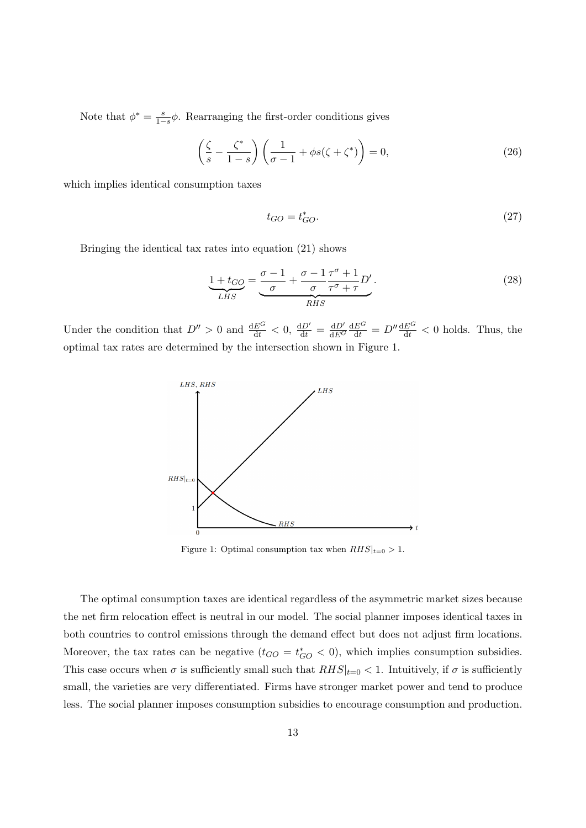Note that  $\phi^* = \frac{s}{1-s}\phi$ . Rearranging the first-order conditions gives

$$
\left(\frac{\zeta}{s} - \frac{\zeta^*}{1-s}\right)\left(\frac{1}{\sigma - 1} + \phi s(\zeta + \zeta^*)\right) = 0,\tag{26}
$$

which implies identical consumption taxes

$$
t_{GO} = t_{GO}^*.\tag{27}
$$

Bringing the identical tax rates into equation (21) shows

$$
\underbrace{1+t_{GO}}_{LHS} = \underbrace{\frac{\sigma-1}{\sigma} + \frac{\sigma-1}{\sigma} \frac{\tau^{\sigma}+1}{\tau^{\sigma}+\tau} D'}_{RHS}.
$$
 (28)

Under the condition that  $D'' > 0$  and  $\frac{dE^G}{dt} < 0$ ,  $\frac{dD'}{dt} = \frac{dD'}{dE^G}$  $\overline{\mathrm{d}E^{G}}$  $\frac{dE^G}{dt} = D'' \frac{dE^G}{dt} < 0$  holds. Thus, the optimal tax rates are determined by the intersection shown in Figure 1.



Figure 1: Optimal consumption tax when  $RHS|_{t=0} > 1$ .

The optimal consumption taxes are identical regardless of the asymmetric market sizes because the net firm relocation effect is neutral in our model. The social planner imposes identical taxes in both countries to control emissions through the demand effect but does not adjust firm locations. Moreover, the tax rates can be negative  $(t_{GO} = t_{GO}^* < 0)$ , which implies consumption subsidies. This case occurs when  $\sigma$  is sufficiently small such that  $RHS|_{t=0} < 1$ . Intuitively, if  $\sigma$  is sufficiently small, the varieties are very differentiated. Firms have stronger market power and tend to produce less. The social planner imposes consumption subsidies to encourage consumption and production.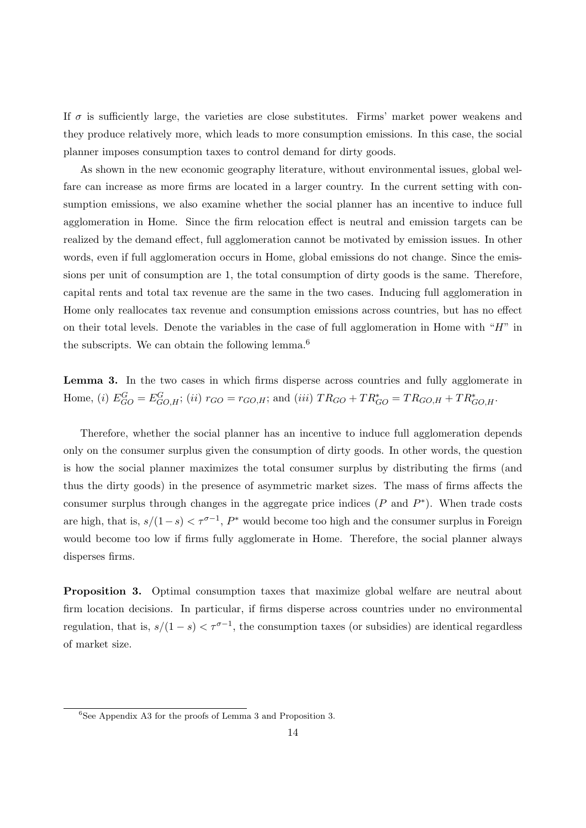If  $\sigma$  is sufficiently large, the varieties are close substitutes. Firms' market power weakens and they produce relatively more, which leads to more consumption emissions. In this case, the social planner imposes consumption taxes to control demand for dirty goods.

As shown in the new economic geography literature, without environmental issues, global welfare can increase as more firms are located in a larger country. In the current setting with consumption emissions, we also examine whether the social planner has an incentive to induce full agglomeration in Home. Since the firm relocation effect is neutral and emission targets can be realized by the demand effect, full agglomeration cannot be motivated by emission issues. In other words, even if full agglomeration occurs in Home, global emissions do not change. Since the emissions per unit of consumption are 1, the total consumption of dirty goods is the same. Therefore, capital rents and total tax revenue are the same in the two cases. Inducing full agglomeration in Home only reallocates tax revenue and consumption emissions across countries, but has no effect on their total levels. Denote the variables in the case of full agglomeration in Home with " $H$ " in the subscripts. We can obtain the following lemma.<sup>6</sup>

Lemma 3. In the two cases in which firms disperse across countries and fully agglomerate in Home, (i)  $E_{GO}^G = E_{GO,H}^G$ ; (ii)  $r_{GO} = r_{GO,H}$ ; and (iii)  $TR_{GO} + TR_{GO}^* = TR_{GO,H} + TR_{GO,H}^*$ .

Therefore, whether the social planner has an incentive to induce full agglomeration depends only on the consumer surplus given the consumption of dirty goods. In other words, the question is how the social planner maximizes the total consumer surplus by distributing the firms (and thus the dirty goods) in the presence of asymmetric market sizes. The mass of firms affects the consumer surplus through changes in the aggregate price indices  $(P \text{ and } P^*)$ . When trade costs are high, that is,  $s/(1-s) < \tau^{\sigma-1}$ ,  $P^*$  would become too high and the consumer surplus in Foreign would become too low if firms fully agglomerate in Home. Therefore, the social planner always disperses firms.

Proposition 3. Optimal consumption taxes that maximize global welfare are neutral about firm location decisions. In particular, if firms disperse across countries under no environmental regulation, that is,  $s/(1-s) < \tau^{\sigma-1}$ , the consumption taxes (or subsidies) are identical regardless of market size.

 ${}^{6}$ See Appendix A3 for the proofs of Lemma 3 and Proposition 3.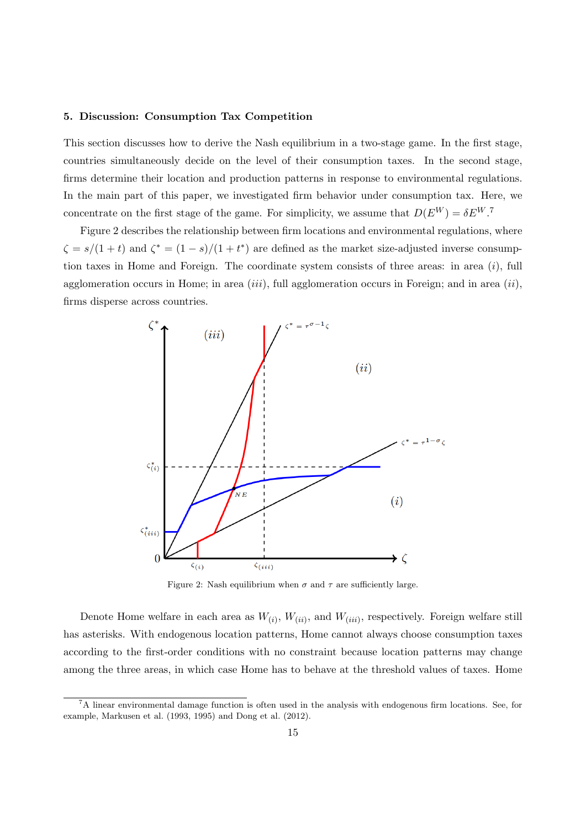### 5. Discussion: Consumption Tax Competition

This section discusses how to derive the Nash equilibrium in a two-stage game. In the first stage, countries simultaneously decide on the level of their consumption taxes. In the second stage, firms determine their location and production patterns in response to environmental regulations. In the main part of this paper, we investigated firm behavior under consumption tax. Here, we concentrate on the first stage of the game. For simplicity, we assume that  $D(E^W) = \delta E^W$ .

Figure 2 describes the relationship between firm locations and environmental regulations, where  $\zeta = s/(1+t)$  and  $\zeta^* = (1-s)/(1+t^*)$  are defined as the market size-adjusted inverse consumption taxes in Home and Foreign. The coordinate system consists of three areas: in area  $(i)$ , full agglomeration occurs in Home; in area  $(iii)$ , full agglomeration occurs in Foreign; and in area  $(ii)$ , firms disperse across countries.



Figure 2: Nash equilibrium when  $\sigma$  and  $\tau$  are sufficiently large.

Denote Home welfare in each area as  $W_{(i)}$ ,  $W_{(ii)}$ , and  $W_{(iii)}$ , respectively. Foreign welfare still has asterisks. With endogenous location patterns, Home cannot always choose consumption taxes according to the first-order conditions with no constraint because location patterns may change among the three areas, in which case Home has to behave at the threshold values of taxes. Home

<sup>7</sup>A linear environmental damage function is often used in the analysis with endogenous firm locations. See, for example, Markusen et al. (1993, 1995) and Dong et al. (2012).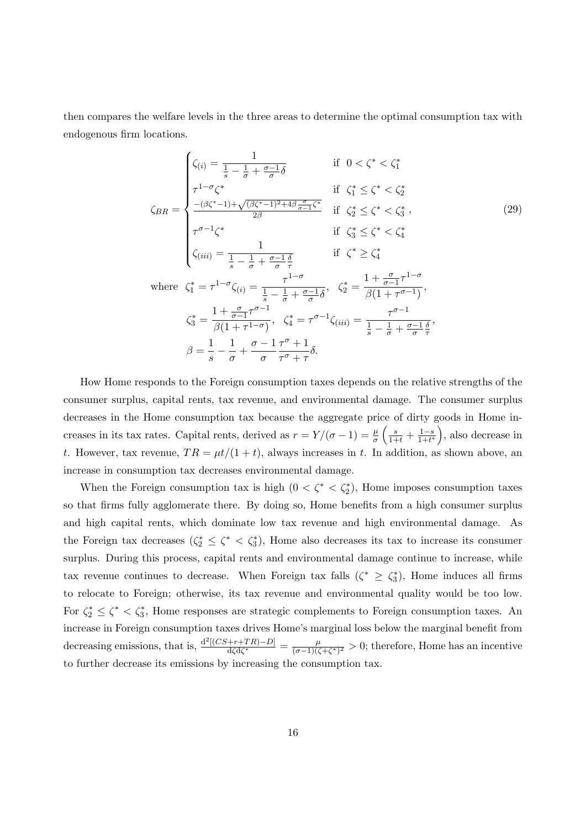then compares the welfare levels in the three areas to determine the optimal consumption tax with endogenous firm locations.

$$
\zeta_{BR} = \begin{cases}\n\zeta_{(i)} = \frac{1}{\frac{1}{s} - \frac{1}{\sigma} + \frac{\sigma - 1}{\sigma}\delta} & \text{if } 0 < \zeta^* < \zeta_1^* \\
\tau^{1 - \sigma}\zeta^* & \text{if } \zeta_1^* \leq \zeta^* < \zeta_2^* \\
\frac{-(\beta\zeta^* - 1) + \sqrt{(\beta\zeta^* - 1)^2 + 4\beta\frac{\sigma}{\sigma - 1}}\zeta^*}{2\beta} & \text{if } \zeta_2^* \leq \zeta^* < \zeta_3^*, \\
\tau^{\sigma - 1}\zeta^* & \text{if } \zeta_3^* \leq \zeta^* < \zeta_4^* \\
\zeta_{(iii)} = \frac{1}{\frac{1}{s} - \frac{1}{\sigma} + \frac{\sigma - 1}{\sigma}\frac{\delta}{\tau}} & \text{if } \zeta^* \geq \zeta_4^* \\
\text{where } \zeta_1^* = \tau^{1 - \sigma}\zeta_{(i)} = \frac{\tau^{1 - \sigma}}{\frac{1}{s} - \frac{1}{\sigma} + \frac{\sigma - 1}{\sigma}\delta}, & \zeta_2^* = \frac{1 + \frac{\sigma}{\sigma - 1}\tau^{1 - \sigma}}{\beta(1 + \tau^{\sigma - 1})}, \\
\zeta_3^* = \frac{1 + \frac{\sigma}{\sigma - 1}\tau^{\sigma - 1}}{\beta(1 + \tau^{1 - \sigma})}, & \zeta_4^* = \tau^{\sigma - 1}\zeta_{(iii)} = \frac{\tau^{\sigma - 1}}{\frac{1}{s} - \frac{1}{\sigma} + \frac{\sigma - 1}{\sigma}\frac{\delta}{\tau}}, \\
\beta = \frac{1}{s} - \frac{1}{\sigma} + \frac{\sigma - 1}{\sigma}\frac{\tau^{\sigma} + 1}{\tau^{\sigma} + \tau}\delta.\n\end{cases}
$$
\n(29)

How Home responds to the Foreign consumption taxes depends on the relative strengths of the consumer surplus, capital rents, tax revenue, and environmental damage. The consumer surplus decreases in the Home consumption tax because the aggregate price of dirty goods in Home increases in its tax rates. Capital rents, derived as  $r = Y/(\sigma - 1) = \frac{\mu}{\sigma} \left( \frac{s}{1+t} + \frac{1-s}{1+t^*} \right)$  $\frac{1-s}{1+t^*}$ , also decrease in t. However, tax revenue,  $TR = \mu t/(1 + t)$ , always increases in t. In addition, as shown above, an increase in consumption tax decreases environmental damage.

When the Foreign consumption tax is high  $(0 < \zeta^* < \zeta_2^*)$ , Home imposes consumption taxes so that firms fully agglomerate there. By doing so, Home benefits from a high consumer surplus and high capital rents, which dominate low tax revenue and high environmental damage. As the Foreign tax decreases  $(\zeta_2^* \leq \zeta^* < \zeta_3^*)$ , Home also decreases its tax to increase its consumer surplus. During this process, capital rents and environmental damage continue to increase, while tax revenue continues to decrease. When Foreign tax falls  $(\zeta^* \geq \zeta_3^*)$ , Home induces all firms to relocate to Foreign; otherwise, its tax revenue and environmental quality would be too low. For  $\zeta_2^* \leq \zeta^* < \zeta_3^*$ , Home responses are strategic complements to Foreign consumption taxes. An increase in Foreign consumption taxes drives Home's marginal loss below the marginal benefit from decreasing emissions, that is,  $\frac{d^{2}[(CS+r+TR)-D]}{dGdG^{*}}$  $\frac{(-r+TR)-D]}{d\zeta d\zeta^*} = \frac{\mu}{(\sigma-1)(\zeta)}$  $\frac{\mu}{(\sigma-1)(\zeta+\zeta^*)^2} > 0$ ; therefore, Home has an incentive to further decrease its emissions by increasing the consumption tax.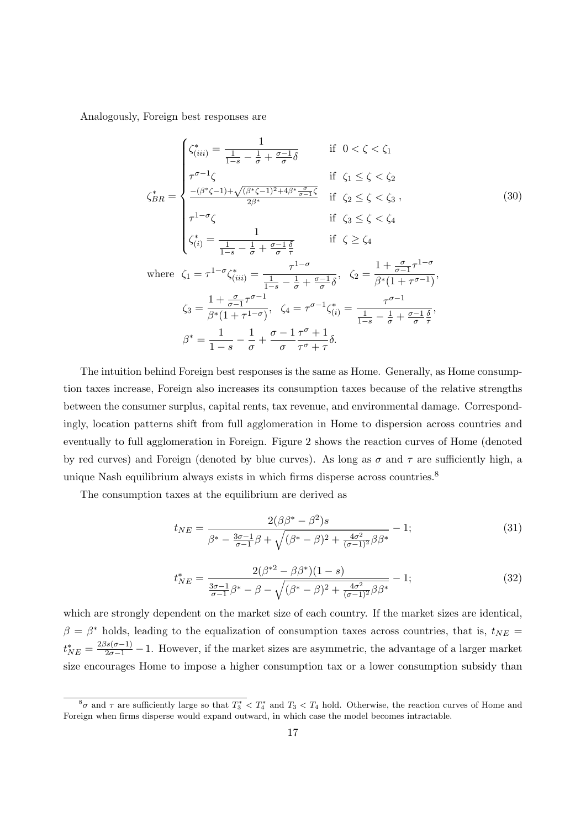Analogously, Foreign best responses are

$$
\zeta_{BR}^{*} = \begin{cases}\n\zeta_{(iii)}^{*} = \frac{1}{\frac{1}{1-s} - \frac{1}{\sigma} + \frac{\sigma - 1}{\sigma}\delta} & \text{if } 0 < \zeta < \zeta_{1} \\
\tau^{\sigma - 1}\zeta & \text{if } \zeta_{1} \leq \zeta < \zeta_{2} \\
\frac{-(\beta^{*}\zeta - 1) + \sqrt{(\beta^{*}\zeta - 1)^{2} + 4\beta^{*}\frac{\sigma}{\sigma - 1}\zeta}}{2\beta^{*}} & \text{if } \zeta_{2} \leq \zeta < \zeta_{3}, \\
\tau^{1-\sigma}\zeta & \text{if } \zeta_{3} \leq \zeta < \zeta_{4} \\
\zeta_{(i)}^{*} = \frac{1}{\frac{1}{1-s} - \frac{1}{\sigma} + \frac{\sigma - 1}{\sigma}\frac{\delta}{\tau}} & \text{if } \zeta \geq \zeta_{4} \\
\text{where } \zeta_{1} = \tau^{1-\sigma}\zeta_{(iii)}^{*} = \frac{\tau^{1-\sigma}}{\frac{1}{1-s} - \frac{1}{\sigma} + \frac{\sigma - 1}{\sigma}\delta}, & \zeta_{2} = \frac{1 + \frac{\sigma}{\sigma - 1}\tau^{1-\sigma}}{\beta^{*}(1 + \tau^{\sigma - 1})}, \\
\zeta_{3} = \frac{1 + \frac{\sigma}{\sigma - 1}\tau^{\sigma - 1}}{\beta^{*}(1 + \tau^{1-\sigma})}, & \zeta_{4} = \tau^{\sigma - 1}\zeta_{(i)}^{*} = \frac{\tau^{\sigma - 1}}{\frac{1}{1-s} - \frac{1}{\sigma} + \frac{\sigma - 1}{\sigma}\frac{\delta}{\tau}}, \\
\beta^{*} = \frac{1}{1-s} - \frac{1}{\sigma} + \frac{\sigma - 1}{\sigma}\frac{\tau^{\sigma} + 1}{\tau^{\sigma} + \tau}\delta.\n\end{cases}
$$
\n(30)

The intuition behind Foreign best responses is the same as Home. Generally, as Home consumption taxes increase, Foreign also increases its consumption taxes because of the relative strengths between the consumer surplus, capital rents, tax revenue, and environmental damage. Correspondingly, location patterns shift from full agglomeration in Home to dispersion across countries and eventually to full agglomeration in Foreign. Figure 2 shows the reaction curves of Home (denoted by red curves) and Foreign (denoted by blue curves). As long as  $\sigma$  and  $\tau$  are sufficiently high, a unique Nash equilibrium always exists in which firms disperse across countries.<sup>8</sup>

The consumption taxes at the equilibrium are derived as

$$
t_{NE} = \frac{2(\beta \beta^* - \beta^2)s}{\beta^* - \frac{3\sigma - 1}{\sigma - 1}\beta + \sqrt{(\beta^* - \beta)^2 + \frac{4\sigma^2}{(\sigma - 1)^2}\beta\beta^*}} - 1; \tag{31}
$$

$$
t_{NE}^{*} = \frac{2(\beta^{*2} - \beta \beta^{*})(1 - s)}{\frac{3\sigma - 1}{\sigma - 1}\beta^{*} - \beta - \sqrt{(\beta^{*} - \beta)^{2} + \frac{4\sigma^{2}}{(\sigma - 1)^{2}}\beta\beta^{*}}} - 1; \tag{32}
$$

which are strongly dependent on the market size of each country. If the market sizes are identical,  $\beta = \beta^*$  holds, leading to the equalization of consumption taxes across countries, that is,  $t_{NE}$  $t_{NE}^* = \frac{2\beta s(\sigma-1)}{2\sigma-1} - 1$ . However, if the market sizes are asymmetric, the advantage of a larger market size encourages Home to impose a higher consumption tax or a lower consumption subsidy than

 ${}^8\sigma$  and  $\tau$  are sufficiently large so that  $T_3^* < T_4^*$  and  $T_3 < T_4$  hold. Otherwise, the reaction curves of Home and Foreign when firms disperse would expand outward, in which case the model becomes intractable.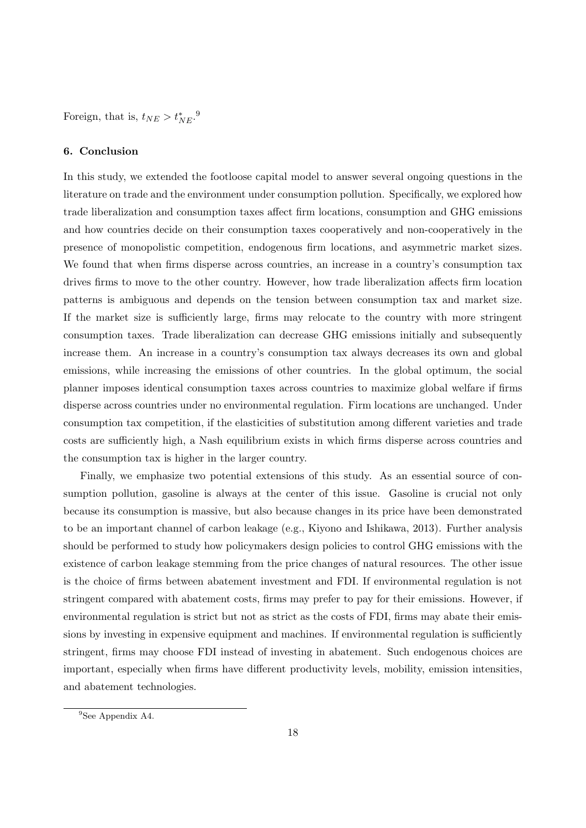Foreign, that is,  $t_{NE} > t_{NE}^*$ .<sup>9</sup>

### 6. Conclusion

In this study, we extended the footloose capital model to answer several ongoing questions in the literature on trade and the environment under consumption pollution. Specifically, we explored how trade liberalization and consumption taxes affect firm locations, consumption and GHG emissions and how countries decide on their consumption taxes cooperatively and non-cooperatively in the presence of monopolistic competition, endogenous firm locations, and asymmetric market sizes. We found that when firms disperse across countries, an increase in a country's consumption tax drives firms to move to the other country. However, how trade liberalization affects firm location patterns is ambiguous and depends on the tension between consumption tax and market size. If the market size is sufficiently large, firms may relocate to the country with more stringent consumption taxes. Trade liberalization can decrease GHG emissions initially and subsequently increase them. An increase in a country's consumption tax always decreases its own and global emissions, while increasing the emissions of other countries. In the global optimum, the social planner imposes identical consumption taxes across countries to maximize global welfare if firms disperse across countries under no environmental regulation. Firm locations are unchanged. Under consumption tax competition, if the elasticities of substitution among different varieties and trade costs are sufficiently high, a Nash equilibrium exists in which firms disperse across countries and the consumption tax is higher in the larger country.

Finally, we emphasize two potential extensions of this study. As an essential source of consumption pollution, gasoline is always at the center of this issue. Gasoline is crucial not only because its consumption is massive, but also because changes in its price have been demonstrated to be an important channel of carbon leakage (e.g., Kiyono and Ishikawa, 2013). Further analysis should be performed to study how policymakers design policies to control GHG emissions with the existence of carbon leakage stemming from the price changes of natural resources. The other issue is the choice of firms between abatement investment and FDI. If environmental regulation is not stringent compared with abatement costs, firms may prefer to pay for their emissions. However, if environmental regulation is strict but not as strict as the costs of FDI, firms may abate their emissions by investing in expensive equipment and machines. If environmental regulation is sufficiently stringent, firms may choose FDI instead of investing in abatement. Such endogenous choices are important, especially when firms have different productivity levels, mobility, emission intensities, and abatement technologies.

<sup>&</sup>lt;sup>9</sup>See Appendix A4.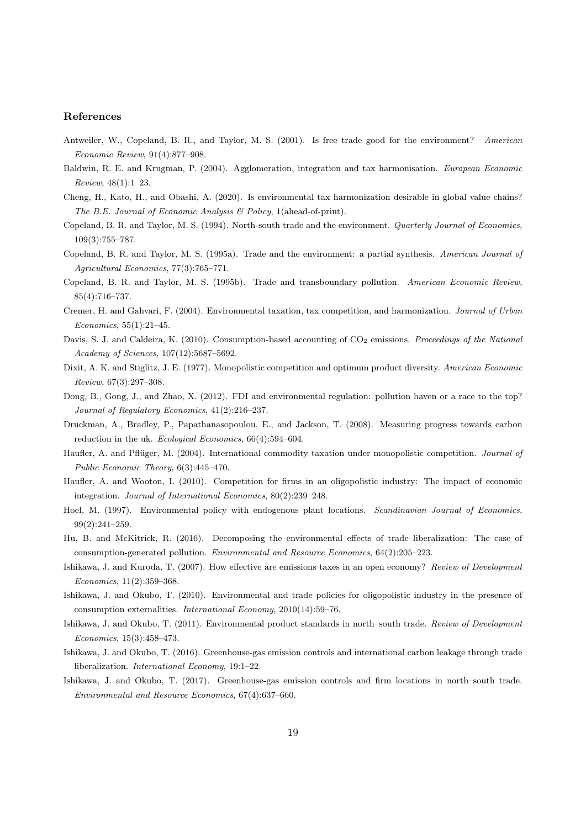### References

- Antweiler, W., Copeland, B. R., and Taylor, M. S. (2001). Is free trade good for the environment? American Economic Review, 91(4):877–908.
- Baldwin, R. E. and Krugman, P. (2004). Agglomeration, integration and tax harmonisation. European Economic Review, 48(1):1–23.
- Cheng, H., Kato, H., and Obashi, A. (2020). Is environmental tax harmonization desirable in global value chains? The B.E. Journal of Economic Analysis  $\mathcal B$  Policy, 1(ahead-of-print).
- Copeland, B. R. and Taylor, M. S. (1994). North-south trade and the environment. Quarterly Journal of Economics, 109(3):755–787.
- Copeland, B. R. and Taylor, M. S. (1995a). Trade and the environment: a partial synthesis. American Journal of Agricultural Economics, 77(3):765–771.
- Copeland, B. R. and Taylor, M. S. (1995b). Trade and transboundary pollution. American Economic Review, 85(4):716–737.
- Cremer, H. and Gahvari, F. (2004). Environmental taxation, tax competition, and harmonization. Journal of Urban Economics, 55(1):21–45.
- Davis, S. J. and Caldeira, K. (2010). Consumption-based accounting of  $CO<sub>2</sub>$  emissions. Proceedings of the National Academy of Sciences, 107(12):5687–5692.
- Dixit, A. K. and Stiglitz, J. E. (1977). Monopolistic competition and optimum product diversity. American Economic Review, 67(3):297–308.
- Dong, B., Gong, J., and Zhao, X. (2012). FDI and environmental regulation: pollution haven or a race to the top? Journal of Regulatory Economics, 41(2):216–237.
- Druckman, A., Bradley, P., Papathanasopoulou, E., and Jackson, T. (2008). Measuring progress towards carbon reduction in the uk. Ecological Economics, 66(4):594–604.
- Haufler, A. and Pflüger, M. (2004). International commodity taxation under monopolistic competition. Journal of Public Economic Theory, 6(3):445–470.
- Haufler, A. and Wooton, I. (2010). Competition for firms in an oligopolistic industry: The impact of economic integration. Journal of International Economics, 80(2):239–248.
- Hoel, M. (1997). Environmental policy with endogenous plant locations. Scandinavian Journal of Economics, 99(2):241–259.
- Hu, B. and McKitrick, R. (2016). Decomposing the environmental effects of trade liberalization: The case of consumption-generated pollution. Environmental and Resource Economics, 64(2):205–223.
- Ishikawa, J. and Kuroda, T. (2007). How effective are emissions taxes in an open economy? Review of Development Economics, 11(2):359–368.
- Ishikawa, J. and Okubo, T. (2010). Environmental and trade policies for oligopolistic industry in the presence of consumption externalities. International Economy, 2010(14):59–76.
- Ishikawa, J. and Okubo, T. (2011). Environmental product standards in north–south trade. Review of Development Economics, 15(3):458–473.
- Ishikawa, J. and Okubo, T. (2016). Greenhouse-gas emission controls and international carbon leakage through trade liberalization. International Economy, 19:1–22.
- Ishikawa, J. and Okubo, T. (2017). Greenhouse-gas emission controls and firm locations in north–south trade. Environmental and Resource Economics, 67(4):637–660.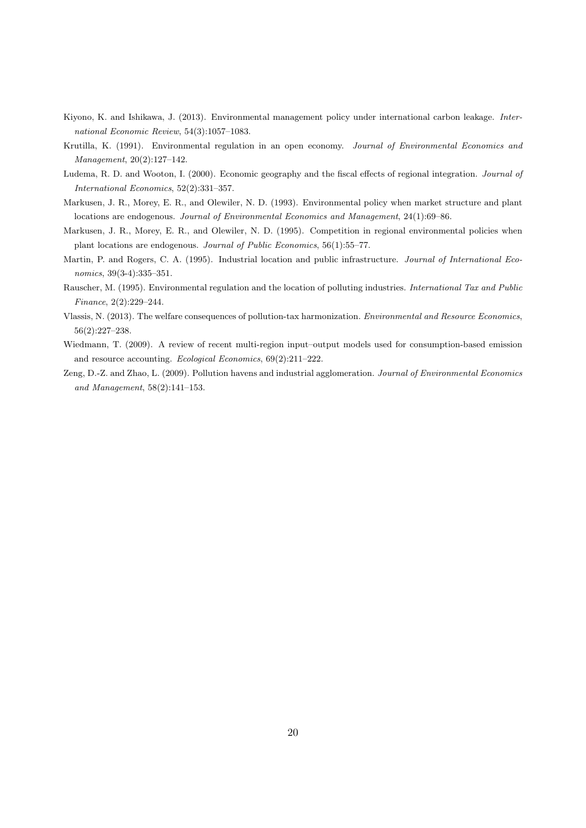- Kiyono, K. and Ishikawa, J. (2013). Environmental management policy under international carbon leakage. International Economic Review, 54(3):1057–1083.
- Krutilla, K. (1991). Environmental regulation in an open economy. Journal of Environmental Economics and Management, 20(2):127–142.
- Ludema, R. D. and Wooton, I. (2000). Economic geography and the fiscal effects of regional integration. Journal of International Economics, 52(2):331–357.
- Markusen, J. R., Morey, E. R., and Olewiler, N. D. (1993). Environmental policy when market structure and plant locations are endogenous. Journal of Environmental Economics and Management, 24(1):69–86.
- Markusen, J. R., Morey, E. R., and Olewiler, N. D. (1995). Competition in regional environmental policies when plant locations are endogenous. Journal of Public Economics, 56(1):55–77.
- Martin, P. and Rogers, C. A. (1995). Industrial location and public infrastructure. Journal of International Economics, 39(3-4):335–351.
- Rauscher, M. (1995). Environmental regulation and the location of polluting industries. International Tax and Public Finance, 2(2):229–244.
- Vlassis, N. (2013). The welfare consequences of pollution-tax harmonization. Environmental and Resource Economics, 56(2):227–238.
- Wiedmann, T. (2009). A review of recent multi-region input–output models used for consumption-based emission and resource accounting. Ecological Economics, 69(2):211–222.
- Zeng, D.-Z. and Zhao, L. (2009). Pollution havens and industrial agglomeration. Journal of Environmental Economics and Management, 58(2):141–153.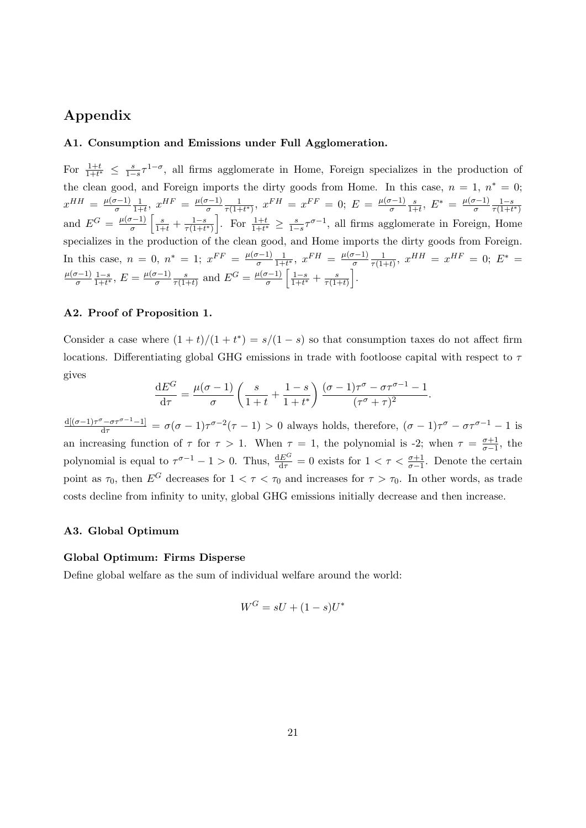## Appendix

### A1. Consumption and Emissions under Full Agglomeration.

For  $\frac{1+t}{1+t^*} \leq \frac{s}{1-s}\tau^{1-\sigma}$ , all firms agglomerate in Home, Foreign specializes in the production of the clean good, and Foreign imports the dirty goods from Home. In this case,  $n = 1, n^* = 0;$  $x^{HH} = \frac{\mu(\sigma - 1)}{\sigma}$ σ 1  $\frac{1}{1+t}$ ,  $x^{HF} = \frac{\mu(\sigma-1)}{\sigma}$ σ 1  $\frac{1}{\tau(1+t^*)}, x^{FH} = x^{FF} = 0; E = \frac{\mu(\sigma-1)}{\sigma}$ σ s  $\frac{s}{1+t},\ E^* = \frac{\mu(\sigma-1)}{\sigma}$ σ  $1-s$  $\overline{\tau(1+t^*)}$ and  $E^G = \frac{\mu(\sigma - 1)}{\sigma}$  $\frac{\sigma-1}{\sigma}$   $\left[\frac{s}{1+t} + \frac{1-s}{\tau(1+t)}\right]$  $\frac{1-s}{\tau(1+t^*)}$ . For  $\frac{1+t}{1+t^*} \geq \frac{s}{1-s}\tau^{\sigma-1}$ , all firms agglomerate in Foreign, Home specializes in the production of the clean good, and Home imports the dirty goods from Foreign. In this case,  $n = 0$ ,  $n^* = 1$ ;  $x^{FF} = \frac{\mu(\sigma-1)}{\sigma}$ σ 1  $\frac{1}{1+t^*}, x^{FH} = \frac{\mu(\sigma-1)}{\sigma}$ σ 1  $\frac{1}{\tau(1+t)}, x^{HH} = x^{HF} = 0; E^* =$  $\mu(\sigma-1)$ σ  $1-s$  $\frac{1-s}{1+t^*},\,E=\frac{\mu(\sigma-1)}{\sigma}$ σ s  $\frac{s}{\tau(1+t)}$  and  $E^G = \frac{\mu(\sigma-1)}{\sigma}$  $\frac{\sigma-1}{\sigma}$   $\left[\frac{1-s}{1+t^*}\right]$  $\frac{1-s}{1+t^*} + \frac{s}{\tau(1-t^*)}$  $\frac{s}{\tau(1+t)}\bigg].$ 

### A2. Proof of Proposition 1.

Consider a case where  $(1 + t)/(1 + t^*) = s/(1 - s)$  so that consumption taxes do not affect firm locations. Differentiating global GHG emissions in trade with footloose capital with respect to  $\tau$ gives

$$
\frac{\mathrm{d}E^G}{\mathrm{d}\tau} = \frac{\mu(\sigma - 1)}{\sigma} \left( \frac{s}{1+t} + \frac{1-s}{1+t^*} \right) \frac{(\sigma - 1)\tau^{\sigma} - \sigma \tau^{\sigma - 1} - 1}{(\tau^{\sigma} + \tau)^2}.
$$

 $\frac{d[(\sigma-1)\tau^{\sigma}-\sigma\tau^{\sigma-1}-1]}{d\tau} = \sigma(\sigma-1)\tau^{\sigma-2}(\tau-1) > 0$  always holds, therefore,  $(\sigma-1)\tau^{\sigma}-\sigma\tau^{\sigma-1}-1$  is an increasing function of  $\tau$  for  $\tau > 1$ . When  $\tau = 1$ , the polynomial is -2; when  $\tau = \frac{\sigma+1}{\sigma-1}$ , the polynomial is equal to  $\tau^{\sigma-1} - 1 > 0$ . Thus,  $\frac{dE^G}{d\tau} = 0$  exists for  $1 < \tau < \frac{\sigma+1}{\sigma-1}$ . Denote the certain point as  $\tau_0$ , then  $E^G$  decreases for  $1 < \tau < \tau_0$  and increases for  $\tau > \tau_0$ . In other words, as trade costs decline from infinity to unity, global GHG emissions initially decrease and then increase.

### A3. Global Optimum

### Global Optimum: Firms Disperse

Define global welfare as the sum of individual welfare around the world:

$$
W^G = sU + (1 - s)U^*
$$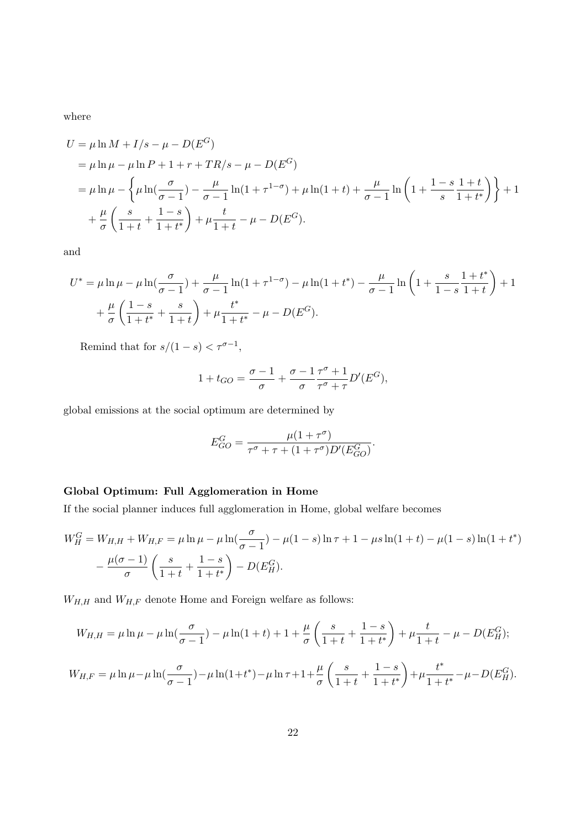where

$$
U = \mu \ln M + I/s - \mu - D(E^G)
$$
  
=  $\mu \ln \mu - \mu \ln P + 1 + r + TR/s - \mu - D(E^G)$   
=  $\mu \ln \mu - \left\{ \mu \ln(\frac{\sigma}{\sigma - 1}) - \frac{\mu}{\sigma - 1} \ln(1 + \tau^{1 - \sigma}) + \mu \ln(1 + t) + \frac{\mu}{\sigma - 1} \ln\left(1 + \frac{1 - s}{s} \frac{1 + t}{1 + t^*}\right) \right\} + 1$   
+  $\frac{\mu}{\sigma} \left( \frac{s}{1 + t} + \frac{1 - s}{1 + t^*} \right) + \mu \frac{t}{1 + t} - \mu - D(E^G).$ 

and

$$
U^* = \mu \ln \mu - \mu \ln \left( \frac{\sigma}{\sigma - 1} \right) + \frac{\mu}{\sigma - 1} \ln(1 + \tau^{1 - \sigma}) - \mu \ln(1 + t^*) - \frac{\mu}{\sigma - 1} \ln \left( 1 + \frac{s}{1 - s} \frac{1 + t^*}{1 + t} \right) + 1 + \frac{\mu}{\sigma} \left( \frac{1 - s}{1 + t^*} + \frac{s}{1 + t} \right) + \mu \frac{t^*}{1 + t^*} - \mu - D(E^G).
$$

Remind that for  $s/(1-s) < \tau^{\sigma-1}$ ,

$$
1 + t_{GO} = \frac{\sigma - 1}{\sigma} + \frac{\sigma - 1}{\sigma} \frac{\tau^{\sigma} + 1}{\tau^{\sigma} + \tau} D'(E^G),
$$

global emissions at the social optimum are determined by

$$
E_{GO}^G = \frac{\mu(1+\tau^{\sigma})}{\tau^{\sigma} + \tau + (1+\tau^{\sigma})D'(E_{GO}^G)}.
$$

## Global Optimum: Full Agglomeration in Home

If the social planner induces full agglomeration in Home, global welfare becomes

$$
W_H^G = W_{H,H} + W_{H,F} = \mu \ln \mu - \mu \ln(\frac{\sigma}{\sigma - 1}) - \mu (1 - s) \ln \tau + 1 - \mu s \ln(1 + t) - \mu (1 - s) \ln(1 + t^*)
$$

$$
- \frac{\mu(\sigma - 1)}{\sigma} \left( \frac{s}{1 + t} + \frac{1 - s}{1 + t^*} \right) - D(E_H^G).
$$

 $W_{H,H}$  and  $W_{H,F}$  denote Home and Foreign welfare as follows:

$$
W_{H,H} = \mu \ln \mu - \mu \ln \left( \frac{\sigma}{\sigma - 1} \right) - \mu \ln (1 + t) + 1 + \frac{\mu}{\sigma} \left( \frac{s}{1 + t} + \frac{1 - s}{1 + t^*} \right) + \mu \frac{t}{1 + t} - \mu - D(E_H^G);
$$
  

$$
W_{H,F} = \mu \ln \mu - \mu \ln \left( \frac{\sigma}{\sigma - 1} \right) - \mu \ln (1 + t^*) - \mu \ln \tau + 1 + \frac{\mu}{\sigma} \left( \frac{s}{1 + t} + \frac{1 - s}{1 + t^*} \right) + \mu \frac{t^*}{1 + t^*} - \mu - D(E_H^G).
$$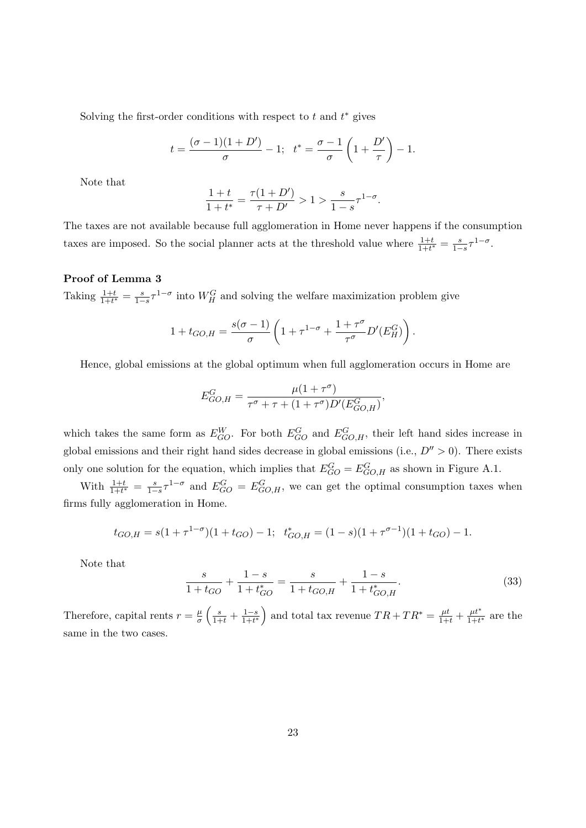Solving the first-order conditions with respect to  $t$  and  $t^*$  gives

$$
t = \frac{(\sigma - 1)(1 + D')}{\sigma} - 1
$$
;  $t^* = \frac{\sigma - 1}{\sigma} \left( 1 + \frac{D'}{\tau} \right) - 1$ .

Note that

$$
\frac{1+t}{1+t^*} = \frac{\tau(1+D')}{\tau+D'} > 1 > \frac{s}{1-s}\tau^{1-\sigma}.
$$

The taxes are not available because full agglomeration in Home never happens if the consumption taxes are imposed. So the social planner acts at the threshold value where  $\frac{1+t}{1+t^*} = \frac{s}{1-s}\tau^{1-\sigma}$ .

### Proof of Lemma 3

Taking  $\frac{1+t}{1+t^*} = \frac{s}{1-s}\tau^{1-\sigma}$  into  $W_H^G$  and solving the welfare maximization problem give

$$
1 + t_{GO,H} = \frac{s(\sigma - 1)}{\sigma} \left( 1 + \tau^{1-\sigma} + \frac{1 + \tau^{\sigma}}{\tau^{\sigma}} D'(E_H^G) \right).
$$

Hence, global emissions at the global optimum when full agglomeration occurs in Home are

$$
E_{GO,H}^G = \frac{\mu(1+\tau^{\sigma})}{\tau^{\sigma} + \tau + (1+\tau^{\sigma})D'(E_{GO,H}^G)},
$$

which takes the same form as  $E_{GO}^W$ . For both  $E_{GO}^G$  and  $E_{GO,H}^G$ , their left hand sides increase in global emissions and their right hand sides decrease in global emissions (i.e.,  $D'' > 0$ ). There exists only one solution for the equation, which implies that  $E_{GO}^G = E_{GO,H}^G$  as shown in Figure A.1.

With  $\frac{1+t}{1+t^*} = \frac{s}{1-s} \tau^{1-\sigma}$  and  $E_{GO}^G = E_{GO,H}^G$ , we can get the optimal consumption taxes when firms fully agglomeration in Home.

$$
t_{GO,H} = s(1 + \tau^{1-\sigma})(1 + t_{GO}) - 1; \quad t_{GO,H}^* = (1 - s)(1 + \tau^{\sigma-1})(1 + t_{GO}) - 1.
$$

Note that

$$
\frac{s}{1+t_{GO}} + \frac{1-s}{1+t_{GO}^*} = \frac{s}{1+t_{GO,H}} + \frac{1-s}{1+t_{GO,H}^*}.
$$
\n(33)

Therefore, capital rents  $r = \frac{\mu}{\sigma}$  $\frac{\mu}{\sigma}\left(\frac{s}{1+t}+\frac{1-s}{1+t^*}\right)$  $\frac{1-s}{1+t^*}$  and total tax revenue  $TR+TR^* = \frac{\mu t}{1+t} + \frac{\mu t^{*}}{1+t}$  $\frac{\mu t}{1+t^*}$  are the same in the two cases.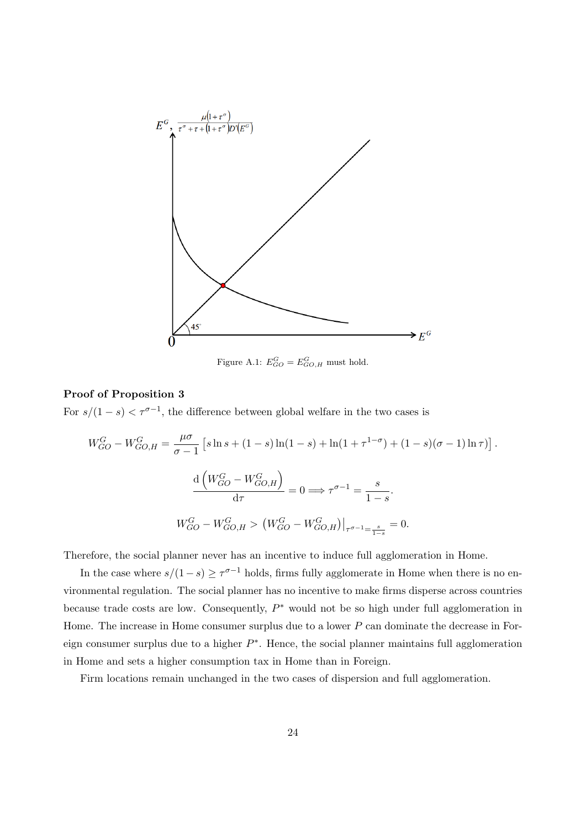

Figure A.1:  $E_{GO}^G = E_{GO,H}^G$  must hold.

## Proof of Proposition 3

For  $s/(1-s) < \tau^{\sigma-1}$ , the difference between global welfare in the two cases is

$$
W_{GO}^G - W_{GO,H}^G = \frac{\mu \sigma}{\sigma - 1} \left[ s \ln s + (1 - s) \ln(1 - s) + \ln(1 + \tau^{1 - \sigma}) + (1 - s)(\sigma - 1) \ln \tau) \right].
$$

$$
\frac{d\left( W_{GO}^G - W_{GO,H}^G \right)}{d\tau} = 0 \Longrightarrow \tau^{\sigma - 1} = \frac{s}{1 - s}.
$$

$$
W_{GO}^G - W_{GO,H}^G > \left( W_{GO}^G - W_{GO,H}^G \right) \Big|_{\tau^{\sigma - 1} = \frac{s}{1 - s}} = 0.
$$

Therefore, the social planner never has an incentive to induce full agglomeration in Home.

In the case where  $s/(1-s) \geq \tau^{\sigma-1}$  holds, firms fully agglomerate in Home when there is no environmental regulation. The social planner has no incentive to make firms disperse across countries because trade costs are low. Consequently,  $P^*$  would not be so high under full agglomeration in Home. The increase in Home consumer surplus due to a lower P can dominate the decrease in Foreign consumer surplus due to a higher  $P^*$ . Hence, the social planner maintains full agglomeration in Home and sets a higher consumption tax in Home than in Foreign.

Firm locations remain unchanged in the two cases of dispersion and full agglomeration.